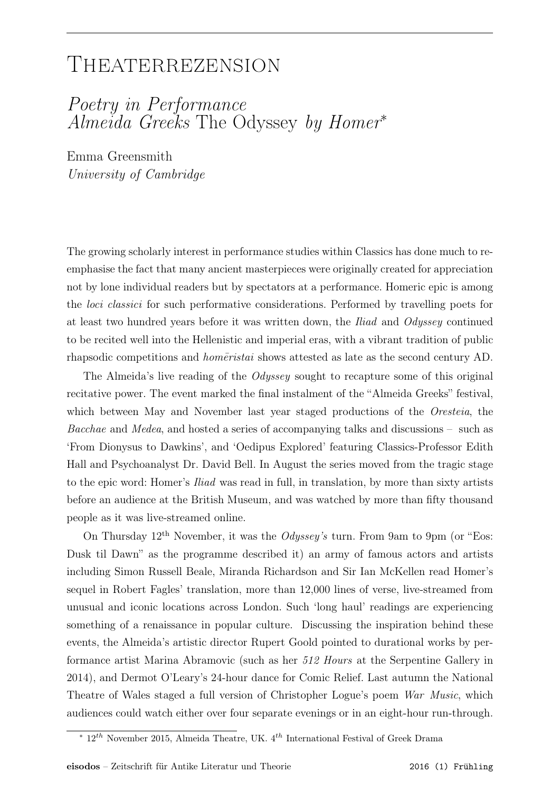## **THEATERREZENSION**

## Poetry in Performance Almeida Greeks The Odyssey by Homer∗

Emma Greensmith University of Cambridge

The growing scholarly interest in performance studies within Classics has done much to reemphasise the fact that many ancient masterpieces were originally created for appreciation not by lone individual readers but by spectators at a performance. Homeric epic is among the loci classici for such performative considerations. Performed by travelling poets for at least two hundred years before it was written down, the Iliad and Odyssey continued to be recited well into the Hellenistic and imperial eras, with a vibrant tradition of public rhapsodic competitions and *homēristai* shows attested as late as the second century AD.

The Almeida's live reading of the *Odyssey* sought to recapture some of this original recitative power. The event marked the final instalment of the "Almeida Greeks" festival, which between May and November last year staged productions of the *Oresteia*, the Bacchae and Medea, and hosted a series of accompanying talks and discussions – such as 'From Dionysus to Dawkins', and 'Oedipus Explored' featuring Classics-Professor Edith Hall and Psychoanalyst Dr. David Bell. In August the series moved from the tragic stage to the epic word: Homer's Iliad was read in full, in translation, by more than sixty artists before an audience at the British Museum, and was watched by more than fifty thousand people as it was live-streamed online.

On Thursday  $12<sup>th</sup>$  November, it was the *Odyssey's* turn. From 9am to 9pm (or "Eos: Dusk til Dawn" as the programme described it) an army of famous actors and artists including Simon Russell Beale, Miranda Richardson and Sir Ian McKellen read Homer's sequel in Robert Fagles' translation, more than 12,000 lines of verse, live-streamed from unusual and iconic locations across London. Such 'long haul' readings are experiencing something of a renaissance in popular culture. Discussing the inspiration behind these events, the Almeida's artistic director Rupert Goold pointed to durational works by performance artist Marina Abramovic (such as her 512 Hours at the Serpentine Gallery in 2014), and Dermot O'Leary's 24-hour dance for Comic Relief. Last autumn the National Theatre of Wales staged a full version of Christopher Logue's poem War Music, which audiences could watch either over four separate evenings or in an eight-hour run-through.

 $*$  12<sup>th</sup> November 2015, Almeida Theatre, UK. 4<sup>th</sup> International Festival of Greek Drama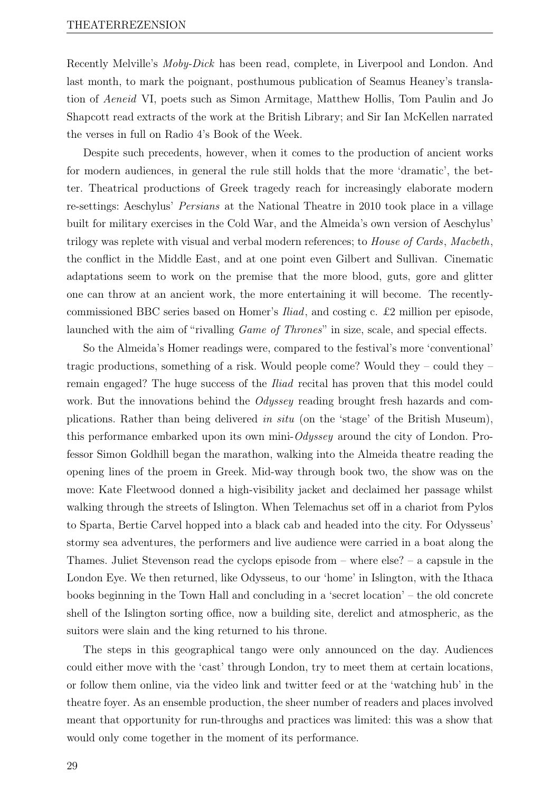Recently Melville's Moby-Dick has been read, complete, in Liverpool and London. And last month, to mark the poignant, posthumous publication of Seamus Heaney's translation of Aeneid VI, poets such as Simon Armitage, Matthew Hollis, Tom Paulin and Jo Shapcott read extracts of the work at the British Library; and Sir Ian McKellen narrated the verses in full on Radio 4's Book of the Week.

Despite such precedents, however, when it comes to the production of ancient works for modern audiences, in general the rule still holds that the more 'dramatic', the better. Theatrical productions of Greek tragedy reach for increasingly elaborate modern re-settings: Aeschylus' Persians at the National Theatre in 2010 took place in a village built for military exercises in the Cold War, and the Almeida's own version of Aeschylus' trilogy was replete with visual and verbal modern references; to House of Cards, Macbeth, the conflict in the Middle East, and at one point even Gilbert and Sullivan. Cinematic adaptations seem to work on the premise that the more blood, guts, gore and glitter one can throw at an ancient work, the more entertaining it will become. The recentlycommissioned BBC series based on Homer's Iliad, and costing c. £2 million per episode, launched with the aim of "rivalling *Game of Thrones*" in size, scale, and special effects.

So the Almeida's Homer readings were, compared to the festival's more 'conventional' tragic productions, something of a risk. Would people come? Would they – could they – remain engaged? The huge success of the Iliad recital has proven that this model could work. But the innovations behind the *Odyssey* reading brought fresh hazards and complications. Rather than being delivered in situ (on the 'stage' of the British Museum), this performance embarked upon its own mini- $Odyssey$  around the city of London. Professor Simon Goldhill began the marathon, walking into the Almeida theatre reading the opening lines of the proem in Greek. Mid-way through book two, the show was on the move: Kate Fleetwood donned a high-visibility jacket and declaimed her passage whilst walking through the streets of Islington. When Telemachus set off in a chariot from Pylos to Sparta, Bertie Carvel hopped into a black cab and headed into the city. For Odysseus' stormy sea adventures, the performers and live audience were carried in a boat along the Thames. Juliet Stevenson read the cyclops episode from – where else? – a capsule in the London Eye. We then returned, like Odysseus, to our 'home' in Islington, with the Ithaca books beginning in the Town Hall and concluding in a 'secret location' – the old concrete shell of the Islington sorting office, now a building site, derelict and atmospheric, as the suitors were slain and the king returned to his throne.

The steps in this geographical tango were only announced on the day. Audiences could either move with the 'cast' through London, try to meet them at certain locations, or follow them online, via the video link and twitter feed or at the 'watching hub' in the theatre foyer. As an ensemble production, the sheer number of readers and places involved meant that opportunity for run-throughs and practices was limited: this was a show that would only come together in the moment of its performance.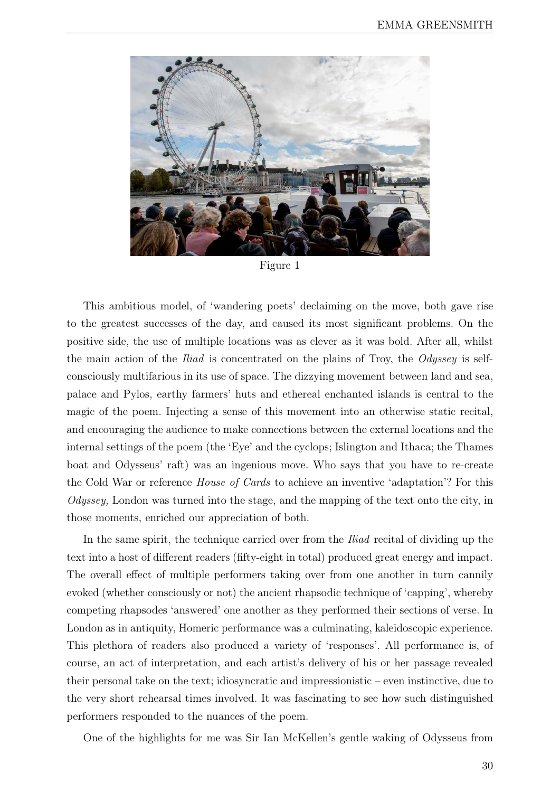

Figure 1

This ambitious model, of 'wandering poets' declaiming on the move, both gave rise to the greatest successes of the day, and caused its most significant problems. On the positive side, the use of multiple locations was as clever as it was bold. After all, whilst the main action of the *Iliad* is concentrated on the plains of Troy, the *Odyssey* is selfconsciously multifarious in its use of space. The dizzying movement between land and sea, palace and Pylos, earthy farmers' huts and ethereal enchanted islands is central to the magic of the poem. Injecting a sense of this movement into an otherwise static recital, and encouraging the audience to make connections between the external locations and the internal settings of the poem (the 'Eye' and the cyclops; Islington and Ithaca; the Thames boat and Odysseus' raft) was an ingenious move. Who says that you have to re-create the Cold War or reference House of Cards to achieve an inventive 'adaptation'? For this  $Odyssey$ , London was turned into the stage, and the mapping of the text onto the city, in those moments, enriched our appreciation of both.

In the same spirit, the technique carried over from the *Iliad* recital of dividing up the text into a host of different readers (fifty-eight in total) produced great energy and impact. The overall effect of multiple performers taking over from one another in turn cannily evoked (whether consciously or not) the ancient rhapsodic technique of 'capping', whereby competing rhapsodes 'answered' one another as they performed their sections of verse. In London as in antiquity, Homeric performance was a culminating, kaleidoscopic experience. This plethora of readers also produced a variety of 'responses'. All performance is, of course, an act of interpretation, and each artist's delivery of his or her passage revealed their personal take on the text; idiosyncratic and impressionistic – even instinctive, due to the very short rehearsal times involved. It was fascinating to see how such distinguished performers responded to the nuances of the poem.

One of the highlights for me was Sir Ian McKellen's gentle waking of Odysseus from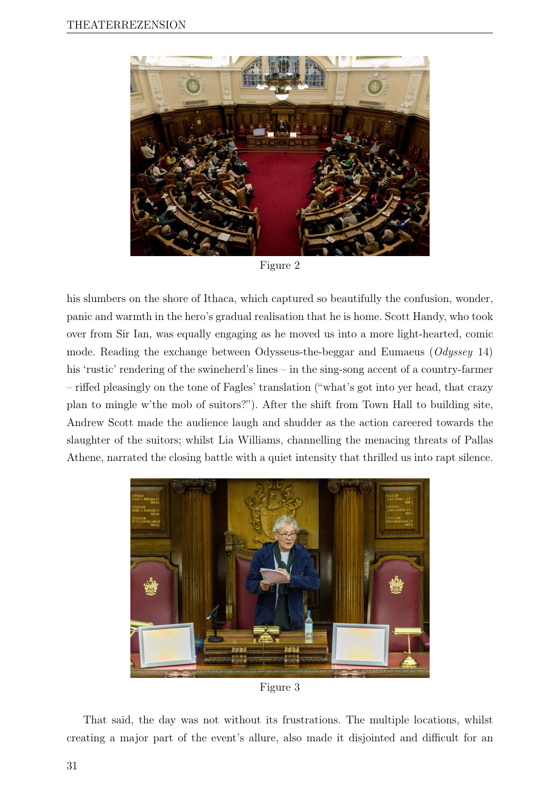

Figure 2

his slumbers on the shore of Ithaca, which captured so beautifully the confusion, wonder, panic and warmth in the hero's gradual realisation that he is home. Scott Handy, who took over from Sir Ian, was equally engaging as he moved us into a more light-hearted, comic mode. Reading the exchange between Odysseus-the-beggar and Eumaeus (Odyssey 14) his 'rustic' rendering of the swineherd's lines – in the sing-song accent of a country-farmer – riffed pleasingly on the tone of Fagles' translation ("what's got into yer head, that crazy plan to mingle w'the mob of suitors?"). After the shift from Town Hall to building site, Andrew Scott made the audience laugh and shudder as the action careered towards the slaughter of the suitors; whilst Lia Williams, channelling the menacing threats of Pallas Athene, narrated the closing battle with a quiet intensity that thrilled us into rapt silence.



Figure 3

That said, the day was not without its frustrations. The multiple locations, whilst creating a major part of the event's allure, also made it disjointed and difficult for an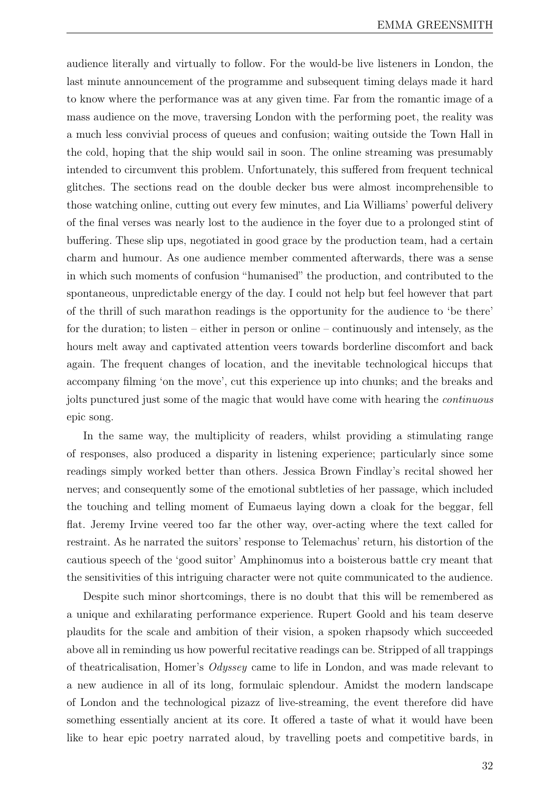audience literally and virtually to follow. For the would-be live listeners in London, the last minute announcement of the programme and subsequent timing delays made it hard to know where the performance was at any given time. Far from the romantic image of a mass audience on the move, traversing London with the performing poet, the reality was a much less convivial process of queues and confusion; waiting outside the Town Hall in the cold, hoping that the ship would sail in soon. The online streaming was presumably intended to circumvent this problem. Unfortunately, this suffered from frequent technical glitches. The sections read on the double decker bus were almost incomprehensible to those watching online, cutting out every few minutes, and Lia Williams' powerful delivery of the final verses was nearly lost to the audience in the foyer due to a prolonged stint of buffering. These slip ups, negotiated in good grace by the production team, had a certain charm and humour. As one audience member commented afterwards, there was a sense in which such moments of confusion "humanised" the production, and contributed to the spontaneous, unpredictable energy of the day. I could not help but feel however that part of the thrill of such marathon readings is the opportunity for the audience to 'be there' for the duration; to listen – either in person or online – continuously and intensely, as the hours melt away and captivated attention veers towards borderline discomfort and back again. The frequent changes of location, and the inevitable technological hiccups that accompany filming 'on the move', cut this experience up into chunks; and the breaks and jolts punctured just some of the magic that would have come with hearing the *continuous* epic song.

In the same way, the multiplicity of readers, whilst providing a stimulating range of responses, also produced a disparity in listening experience; particularly since some readings simply worked better than others. Jessica Brown Findlay's recital showed her nerves; and consequently some of the emotional subtleties of her passage, which included the touching and telling moment of Eumaeus laying down a cloak for the beggar, fell flat. Jeremy Irvine veered too far the other way, over-acting where the text called for restraint. As he narrated the suitors' response to Telemachus' return, his distortion of the cautious speech of the 'good suitor' Amphinomus into a boisterous battle cry meant that the sensitivities of this intriguing character were not quite communicated to the audience.

Despite such minor shortcomings, there is no doubt that this will be remembered as a unique and exhilarating performance experience. Rupert Goold and his team deserve plaudits for the scale and ambition of their vision, a spoken rhapsody which succeeded above all in reminding us how powerful recitative readings can be. Stripped of all trappings of theatricalisation, Homer's Odyssey came to life in London, and was made relevant to a new audience in all of its long, formulaic splendour. Amidst the modern landscape of London and the technological pizazz of live-streaming, the event therefore did have something essentially ancient at its core. It offered a taste of what it would have been like to hear epic poetry narrated aloud, by travelling poets and competitive bards, in